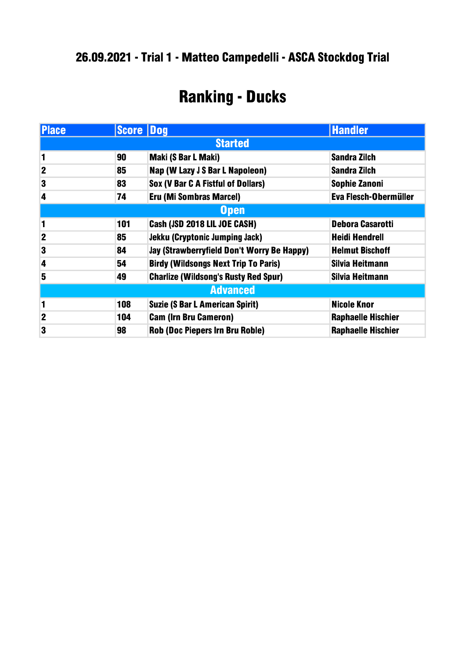#### .09.2021 - Trial 1 - Matteo Campedelli - ASCA Stockdog Trial

### Ranking - Ducks

| <b>Place</b>     | <b>Score Dog</b> |                                             | <b>Handler</b>            |
|------------------|------------------|---------------------------------------------|---------------------------|
| <b>Started</b>   |                  |                                             |                           |
| 1                | 90               | Maki (S Bar L Maki)                         | <b>Sandra Zilch</b>       |
| $\boldsymbol{2}$ | 85               | Nap (W Lazy J S Bar L Napoleon)             | <b>Sandra Zilch</b>       |
| 3                | 83               | Sox (V Bar C A Fistful of Dollars)          | <b>Sophie Zanoni</b>      |
| 4                | 74               | <b>Eru (Mi Sombras Marcel)</b>              | Eva Flesch-Obermüller     |
| <b>Open</b>      |                  |                                             |                           |
| 1                | 101              | Cash (JSD 2018 LIL JOE CASH)                | <b>Debora Casarotti</b>   |
| $\mathbf 2$      | 85               | <b>Jekku (Cryptonic Jumping Jack)</b>       | <b>Heidi Hendrell</b>     |
| 3                | 84               | Jay (Strawberryfield Don't Worry Be Happy)  | <b>Helmut Bischoff</b>    |
| 4                | 54               | <b>Birdy (Wildsongs Next Trip To Paris)</b> | Silvia Heitmann           |
| 5                | 49               | <b>Charlize (Wildsong's Rusty Red Spur)</b> | Silvia Heitmann           |
| <b>Advanced</b>  |                  |                                             |                           |
| 1                | 108              | <b>Suzie (S Bar L American Spirit)</b>      | <b>Nicole Knor</b>        |
| $\mathbf 2$      | 104              | <b>Cam (Irn Bru Cameron)</b>                | <b>Raphaelle Hischier</b> |
| 3                | 98               | <b>Rob (Doc Piepers Irn Bru Roble)</b>      | <b>Raphaelle Hischier</b> |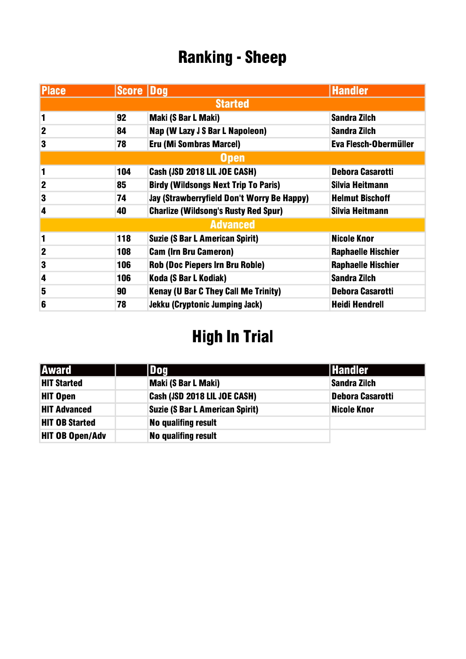### Ranking - Sheep

| <b>Place</b>     | <b>Score Dog</b> |                                             | <b>Handler</b>               |
|------------------|------------------|---------------------------------------------|------------------------------|
| <b>Started</b>   |                  |                                             |                              |
| 1                | 92               | Maki (S Bar L Maki)                         | <b>Sandra Zilch</b>          |
| $\mathbf 2$      | 84               | Nap (W Lazy J S Bar L Napoleon)             | <b>Sandra Zilch</b>          |
| 3                | 78               | Eru (Mi Sombras Marcel)                     | <b>Eva Flesch-Obermüller</b> |
| <b>Open</b>      |                  |                                             |                              |
| 1                | 104              | Cash (JSD 2018 LIL JOE CASH)                | <b>Debora Casarotti</b>      |
| $\boldsymbol{2}$ | 85               | <b>Birdy (Wildsongs Next Trip To Paris)</b> | Silvia Heitmann              |
| 3                | 74               | Jay (Strawberryfield Don't Worry Be Happy)  | <b>Helmut Bischoff</b>       |
| 4                | 40               | <b>Charlize (Wildsong's Rusty Red Spur)</b> | Silvia Heitmann              |
| <b>Advanced</b>  |                  |                                             |                              |
| 1                | 118              | <b>Suzie (S Bar L American Spirit)</b>      | <b>Nicole Knor</b>           |
| $\boldsymbol{2}$ | 108              | <b>Cam (Irn Bru Cameron)</b>                | <b>Raphaelle Hischier</b>    |
| 3                | 106              | <b>Rob (Doc Piepers Irn Bru Roble)</b>      | <b>Raphaelle Hischier</b>    |
| 4                | 106              | Koda (S Bar L Kodiak)                       | <b>Sandra Zilch</b>          |
| 5                | 90               | <b>Kenay (U Bar C They Call Me Trinity)</b> | Debora Casarotti             |
| 6                | 78               | <b>Jekku (Cryptonic Jumping Jack)</b>       | <b>Heidi Hendrell</b>        |

# High In Trial

| <b>Award</b>           | l Doa                                  | <b>Handler</b>     |
|------------------------|----------------------------------------|--------------------|
| <b>HIT Started</b>     | Maki (S Bar L Maki)                    | Sandra Zilch       |
| <b>HIT Open</b>        | Cash (JSD 2018 LIL JOE CASH)           | Debora Casarotti   |
| <b>HIT Advanced</b>    | <b>Suzie (S Bar L American Spirit)</b> | <b>Nicole Knor</b> |
| <b>HIT OB Started</b>  | <b>No qualifing result</b>             |                    |
| <b>HIT OB Open/Adv</b> | <b>No qualifing result</b>             |                    |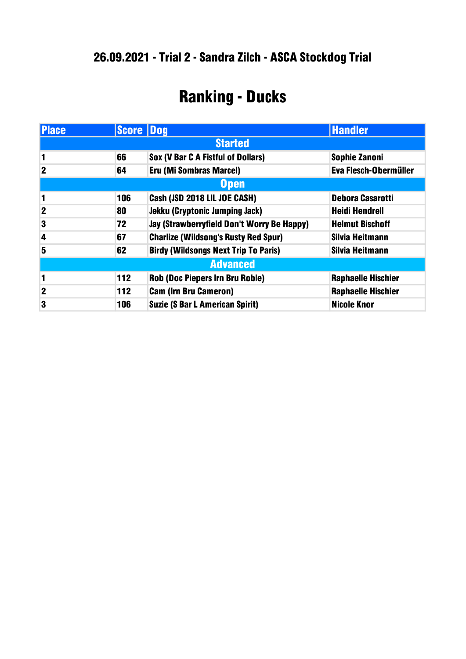## Ranking - Ducks

| <b>Place</b>    | <b>Score Dog</b> |                                             | <b>Handler</b>            |
|-----------------|------------------|---------------------------------------------|---------------------------|
| <b>Started</b>  |                  |                                             |                           |
| 1               | 66               | <b>Sox (V Bar C A Fistful of Dollars)</b>   | <b>Sophie Zanoni</b>      |
| $\mathbf 2$     | 64               | Eru (Mi Sombras Marcel)                     | Eva Flesch-Obermüller     |
| <b>Open</b>     |                  |                                             |                           |
| 1               | 106              | Cash (JSD 2018 LIL JOE CASH)                | <b>Debora Casarotti</b>   |
| $\mathbf 2$     | 80               | <b>Jekku (Cryptonic Jumping Jack)</b>       | <b>Heidi Hendrell</b>     |
| 3               | 72               | Jay (Strawberryfield Don't Worry Be Happy)  | <b>Helmut Bischoff</b>    |
| 4               | 67               | <b>Charlize (Wildsong's Rusty Red Spur)</b> | Silvia Heitmann           |
| 5               | 62               | <b>Birdy (Wildsongs Next Trip To Paris)</b> | Silvia Heitmann           |
| <b>Advanced</b> |                  |                                             |                           |
| 1               | 112              | <b>Rob (Doc Piepers Irn Bru Roble)</b>      | <b>Raphaelle Hischier</b> |
| $\overline{2}$  | 112              | <b>Cam (Irn Bru Cameron)</b>                | <b>Raphaelle Hischier</b> |
| 3               | 106              | <b>Suzie (S Bar L American Spirit)</b>      | <b>Nicole Knor</b>        |